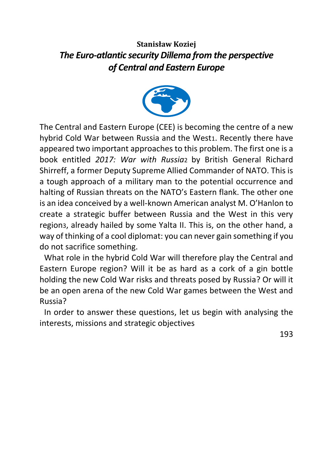# **Stanisław Koziej**  *The Euro-atlantic security Dillema from the perspective of Central and Eastern Europe*



The Central and Eastern Europe (CEE) is becoming the centre of a new hybrid Cold War between Russia and the West1. Recently there have appeared two important approaches to this problem. The first one is a book entitled *2017: War with Russia*2 by British General Richard Shirreff, a former Deputy Supreme Allied Commander of NATO. This is a tough approach of a military man to the potential occurrence and halting of Russian threats on the NATO's Eastern flank. The other one is an idea conceived by a well-known American analyst M. O'Hanlon to create a strategic buffer between Russia and the West in this very region3, already hailed by some Yalta II. This is, on the other hand, a way of thinking of a cool diplomat: you can never gain something if you do not sacrifice something.

What role in the hybrid Cold War will therefore play the Central and Eastern Europe region? Will it be as hard as a cork of a gin bottle holding the new Cold War risks and threats posed by Russia? Or will it be an open arena of the new Cold War games between the West and Russia?

In order to answer these questions, let us begin with analysing the interests, missions and strategic objectives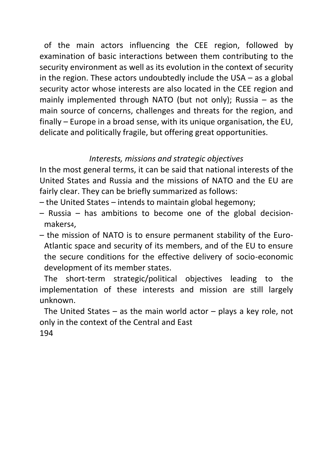of the main actors influencing the CEE region, followed by examination of basic interactions between them contributing to the security environment as well as its evolution in the context of security in the region. These actors undoubtedly include the USA – as a global security actor whose interests are also located in the CEE region and mainly implemented through NATO (but not only); Russia – as the main source of concerns, challenges and threats for the region, and finally – Europe in a broad sense, with its unique organisation, the EU, delicate and politically fragile, but offering great opportunities.

## *Interests, missions and strategic objectives*

In the most general terms, it can be said that national interests of the United States and Russia and the missions of NATO and the EU are fairly clear. They can be briefly summarized as follows:

- the United States intends to maintain global hegemony;
- Russia has ambitions to become one of the global decisionmakers4,
- the mission of NATO is to ensure permanent stability of the Euro-Atlantic space and security of its members, and of the EU to ensure the secure conditions for the effective delivery of socio-economic development of its member states.

The short-term strategic/political objectives leading to the implementation of these interests and mission are still largely unknown.

The United States – as the main world actor – plays a key role, not only in the context of the Central and East 194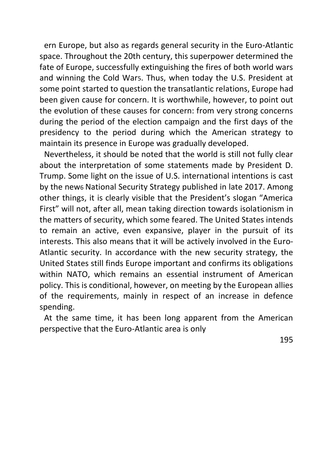ern Europe, but also as regards general security in the Euro-Atlantic space. Throughout the 20th century, this superpower determined the fate of Europe, successfully extinguishing the fires of both world wars and winning the Cold War5. Thus, when today the U.S. President at some point started to question the transatlantic relations, Europe had been given cause for concern. It is worthwhile, however, to point out the evolution of these causes for concern: from very strong concerns during the period of the election campaign and the first days of the presidency to the period during which the American strategy to maintain its presence in Europe was gradually developed.

Nevertheless, it should be noted that the world is still not fully clear about the interpretation of some statements made by President D. Trump. Some light on the issue of U.S. international intentions is cast by the new6 National Security Strategy published in late 2017. Among other things, it is clearly visible that the President's slogan "America First" will not, after all, mean taking direction towards isolationism in the matters of security, which some feared. The United States intends to remain an active, even expansive, player in the pursuit of its interests. This also means that it will be actively involved in the Euro-Atlantic security. In accordance with the new security strategy, the United States still finds Europe important and confirms its obligations within NATO, which remains an essential instrument of American policy. This is conditional, however, on meeting by the European allies of the requirements, mainly in respect of an increase in defence spending.

At the same time, it has been long apparent from the American perspective that the Euro-Atlantic area is only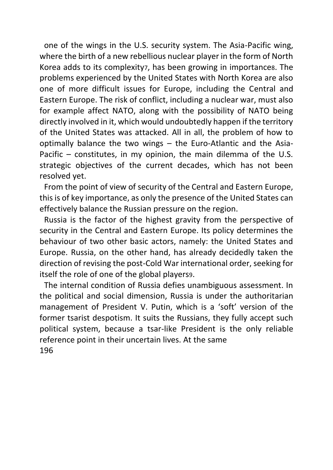one of the wings in the U.S. security system. The Asia-Pacific wing, where the birth of a new rebellious nuclear player in the form of North Korea adds to its complexity7, has been growing in importance8. The problems experienced by the United States with North Korea are also one of more difficult issues for Europe, including the Central and Eastern Europe. The risk of conflict, including a nuclear war, must also for example affect NATO, along with the possibility of NATO being directly involved in it, which would undoubtedly happen if the territory of the United States was attacked. All in all, the problem of how to optimally balance the two wings – the Euro-Atlantic and the Asia-Pacific – constitutes, in my opinion, the main dilemma of the U.S. strategic objectives of the current decades, which has not been resolved yet.

From the point of view of security of the Central and Eastern Europe, this is of key importance, as only the presence of the United States can effectively balance the Russian pressure on the region.

Russia is the factor of the highest gravity from the perspective of security in the Central and Eastern Europe. Its policy determines the behaviour of two other basic actors, namely: the United States and Europe. Russia, on the other hand, has already decidedly taken the direction of revising the post-Cold War international order, seeking for itself the role of one of the global players9.

The internal condition of Russia defies unambiguous assessment. In the political and social dimension, Russia is under the authoritarian management of President V. Putin, which is a 'soft' version of the former tsarist despotism. It suits the Russians, they fully accept such political system, because a tsar-like President is the only reliable reference point in their uncertain lives. At the same 196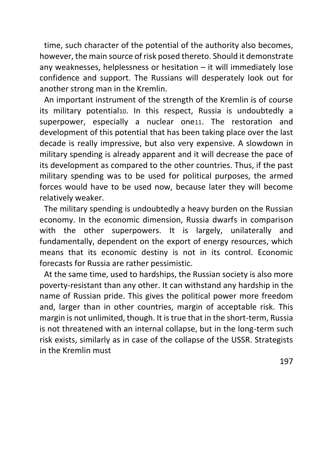time, such character of the potential of the authority also becomes, however, the main source of risk posed thereto. Should it demonstrate any weaknesses, helplessness or hesitation – it will immediately lose confidence and support. The Russians will desperately look out for another strong man in the Kremlin.

An important instrument of the strength of the Kremlin is of course its military potential10. In this respect, Russia is undoubtedly a superpower, especially a nuclear one11. The restoration and development of this potential that has been taking place over the last decade is really impressive, but also very expensive. A slowdown in military spending is already apparent and it will decrease the pace of its development as compared to the other countries. Thus, if the past military spending was to be used for political purposes, the armed forces would have to be used now, because later they will become relatively weaker.

The military spending is undoubtedly a heavy burden on the Russian economy. In the economic dimension, Russia dwarfs in comparison with the other superpowers. It is largely, unilaterally and fundamentally, dependent on the export of energy resources, which means that its economic destiny is not in its control. Economic forecasts for Russia are rather pessimistic.

At the same time, used to hardships, the Russian society is also more poverty-resistant than any other. It can withstand any hardship in the name of Russian pride. This gives the political power more freedom and, larger than in other countries, margin of acceptable risk. This margin is not unlimited, though. It is true that in the short-term, Russia is not threatened with an internal collapse, but in the long-term such risk exists, similarly as in case of the collapse of the USSR. Strategists in the Kremlin must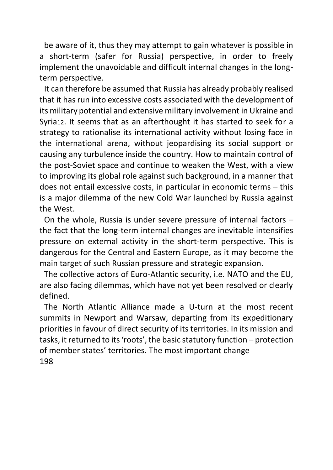be aware of it, thus they may attempt to gain whatever is possible in a short-term (safer for Russia) perspective, in order to freely implement the unavoidable and difficult internal changes in the longterm perspective.

It can therefore be assumed that Russia has already probably realised that it has run into excessive costs associated with the development of its military potential and extensive military involvement in Ukraine and Syria12. It seems that as an afterthought it has started to seek for a strategy to rationalise its international activity without losing face in the international arena, without jeopardising its social support or causing any turbulence inside the country. How to maintain control of the post-Soviet space and continue to weaken the West, with a view to improving its global role against such background, in a manner that does not entail excessive costs, in particular in economic terms – this is a major dilemma of the new Cold War launched by Russia against the West.

On the whole, Russia is under severe pressure of internal factors – the fact that the long-term internal changes are inevitable intensifies pressure on external activity in the short-term perspective. This is dangerous for the Central and Eastern Europe, as it may become the main target of such Russian pressure and strategic expansion.

The collective actors of Euro-Atlantic security, i.e. NATO and the EU, are also facing dilemmas, which have not yet been resolved or clearly defined.

The North Atlantic Alliance made a U-turn at the most recent summits in Newport and Warsaw, departing from its expeditionary priorities in favour of direct security of its territories. In its mission and tasks, it returned to its 'roots', the basic statutory function – protection of member states' territories. The most important change 198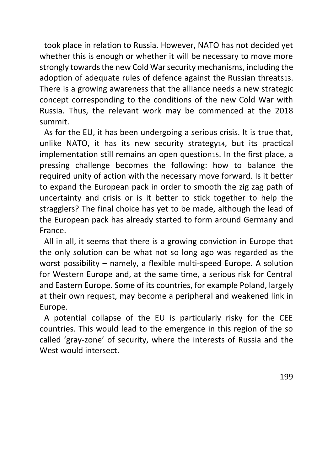took place in relation to Russia. However, NATO has not decided yet whether this is enough or whether it will be necessary to move more strongly towards the new Cold War security mechanisms, including the adoption of adequate rules of defence against the Russian threats13. There is a growing awareness that the alliance needs a new strategic concept corresponding to the conditions of the new Cold War with Russia. Thus, the relevant work may be commenced at the 2018 summit.

As for the EU, it has been undergoing a serious crisis. It is true that, unlike NATO, it has its new security strategy14, but its practical implementation still remains an open question15. In the first place, a pressing challenge becomes the following: how to balance the required unity of action with the necessary move forward. Is it better to expand the European pack in order to smooth the zig zag path of uncertainty and crisis or is it better to stick together to help the stragglers? The final choice has yet to be made, although the lead of the European pack has already started to form around Germany and France.

All in all, it seems that there is a growing conviction in Europe that the only solution can be what not so long ago was regarded as the worst possibility – namely, a flexible multi-speed Europe. A solution for Western Europe and, at the same time, a serious risk for Central and Eastern Europe. Some of its countries, for example Poland, largely at their own request, may become a peripheral and weakened link in Europe.

A potential collapse of the EU is particularly risky for the CEE countries. This would lead to the emergence in this region of the so called 'gray-zone' of security, where the interests of Russia and the West would intersect.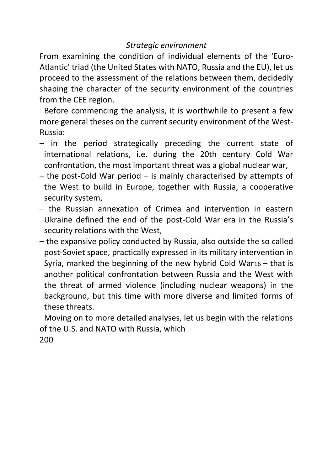### *Strategic environment*

From examining the condition of individual elements of the 'Euro-Atlantic' triad (the United States with NATO, Russia and the EU), let us proceed to the assessment of the relations between them, decidedly shaping the character of the security environment of the countries from the CEE region.

Before commencing the analysis, it is worthwhile to present a few more general theses on the current security environment of the West-Russia:

- in the period strategically preceding the current state of international relations, i.e. during the 20th century Cold War confrontation, the most important threat was a global nuclear war,
- the post-Cold War period is mainly characterised by attempts of the West to build in Europe, together with Russia, a cooperative security system,
- the Russian annexation of Crimea and intervention in eastern Ukraine defined the end of the post-Cold War era in the Russia's security relations with the West,
- the expansive policy conducted by Russia, also outside the so called post-Soviet space, practically expressed in its military intervention in Syria, marked the beginning of the new hybrid Cold War16 – that is another political confrontation between Russia and the West with the threat of armed violence (including nuclear weapons) in the background, but this time with more diverse and limited forms of these threats.

Moving on to more detailed analyses, let us begin with the relations of the U.S. and NATO with Russia, which 200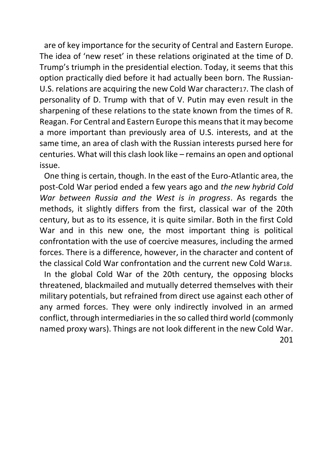are of key importance for the security of Central and Eastern Europe. The idea of 'new reset' in these relations originated at the time of D. Trump's triumph in the presidential election. Today, it seems that this option practically died before it had actually been born. The Russian-U.S. relations are acquiring the new Cold War character17. The clash of personality of D. Trump with that of V. Putin may even result in the sharpening of these relations to the state known from the times of R. Reagan. For Central and Eastern Europe this means that it may become a more important than previously area of U.S. interests, and at the same time, an area of clash with the Russian interests pursed here for centuries. What will this clash look like – remains an open and optional issue.

One thing is certain, though. In the east of the Euro-Atlantic area, the post-Cold War period ended a few years ago and *the new hybrid Cold War between Russia and the West is in progress*. As regards the methods, it slightly differs from the first, classical war of the 20th century, but as to its essence, it is quite similar. Both in the first Cold War and in this new one, the most important thing is political confrontation with the use of coercive measures, including the armed forces. There is a difference, however, in the character and content of the classical Cold War confrontation and the current new Cold War18.

In the global Cold War of the 20th century, the opposing blocks threatened, blackmailed and mutually deterred themselves with their military potentials, but refrained from direct use against each other of any armed forces. They were only indirectly involved in an armed conflict, through intermediaries in the so called third world (commonly named proxy wars). Things are not look different in the new Cold War. 201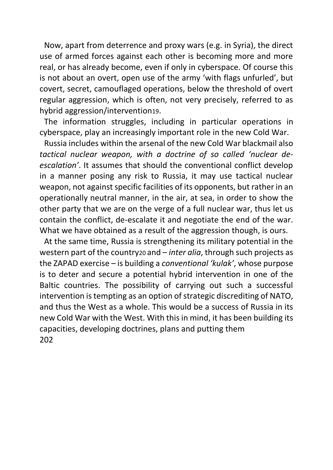Now, apart from deterrence and proxy wars (e.g. in Syria), the direct use of armed forces against each other is becoming more and more real, or has already become, even if only in cyberspace. Of course this is not about an overt, open use of the army 'with flags unfurled', but covert, secret, camouflaged operations, below the threshold of overt regular aggression, which is often, not very precisely, referred to as hybrid aggression/intervention19.

The information struggles, including in particular operations in cyberspace, play an increasingly important role in the new Cold War.

Russia includes within the arsenal of the new Cold War blackmail also *tactical nuclear weapon, with a doctrine of so called 'nuclear deescalation'*. It assumes that should the conventional conflict develop in a manner posing any risk to Russia, it may use tactical nuclear weapon, not against specific facilities of its opponents, but rather in an operationally neutral manner, in the air, at sea, in order to show the other party that we are on the verge of a full nuclear war, thus let us contain the conflict, de-escalate it and negotiate the end of the war. What we have obtained as a result of the aggression though, is ours.

At the same time, Russia is strengthening its military potential in the western part of the country20 and – *inter alia*, through such projects as the ZAPAD exercise – is building a *conventional 'kulak'*, whose purpose is to deter and secure a potential hybrid intervention in one of the Baltic countries. The possibility of carrying out such a successful intervention is tempting as an option of strategic discrediting of NATO, and thus the West as a whole. This would be a success of Russia in its new Cold War with the West. With this in mind, it has been building its capacities, developing doctrines, plans and putting them 202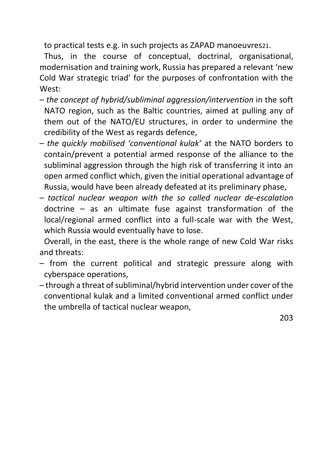to practical tests e.g. in such projects as ZAPAD manoeuvres21.

Thus, in the course of conceptual, doctrinal, organisational, modernisation and training work, Russia has prepared a relevant 'new Cold War strategic triad' for the purposes of confrontation with the West:

- *the concept of hybrid/subliminal aggression/intervention* in the soft NATO region, such as the Baltic countries, aimed at pulling any of them out of the NATO/EU structures, in order to undermine the credibility of the West as regards defence,
- *the quickly mobilised 'conventional kulak'* at the NATO borders to contain/prevent a potential armed response of the alliance to the subliminal aggression through the high risk of transferring it into an open armed conflict which, given the initial operational advantage of Russia, would have been already defeated at its preliminary phase,
- *tactical nuclear weapon with the so called nuclear de-escalation*  doctrine – as an ultimate fuse against transformation of the local/regional armed conflict into a full-scale war with the West, which Russia would eventually have to lose.

Overall, in the east, there is the whole range of new Cold War risks and threats:

- from the current political and strategic pressure along with cyberspace operations,
- through a threat of subliminal/hybrid intervention under cover of the conventional kulak and a limited conventional armed conflict under the umbrella of tactical nuclear weapon,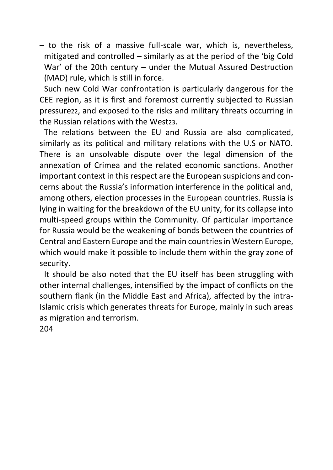– to the risk of a massive full-scale war, which is, nevertheless, mitigated and controlled – similarly as at the period of the 'big Cold War' of the 20th century – under the Mutual Assured Destruction (MAD) rule, which is still in force.

Such new Cold War confrontation is particularly dangerous for the CEE region, as it is first and foremost currently subjected to Russian pressure22, and exposed to the risks and military threats occurring in the Russian relations with the West23.

The relations between the EU and Russia are also complicated, similarly as its political and military relations with the U.S or NATO. There is an unsolvable dispute over the legal dimension of the annexation of Crimea and the related economic sanctions. Another important context in this respect are the European suspicions and concerns about the Russia's information interference in the political and, among others, election processes in the European countries. Russia is lying in waiting for the breakdown of the EU unity, for its collapse into multi-speed groups within the Community. Of particular importance for Russia would be the weakening of bonds between the countries of Central and Eastern Europe and the main countries in Western Europe, which would make it possible to include them within the gray zone of security.

It should be also noted that the EU itself has been struggling with other internal challenges, intensified by the impact of conflicts on the southern flank (in the Middle East and Africa), affected by the intra-Islamic crisis which generates threats for Europe, mainly in such areas as migration and terrorism.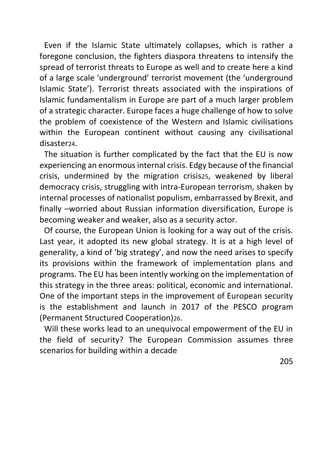Even if the Islamic State ultimately collapses, which is rather a foregone conclusion, the fighters diaspora threatens to intensify the spread of terrorist threats to Europe as well and to create here a kind of a large scale 'underground' terrorist movement (the 'underground Islamic State'). Terrorist threats associated with the inspirations of Islamic fundamentalism in Europe are part of a much larger problem of a strategic character. Europe faces a huge challenge of how to solve the problem of coexistence of the Western and Islamic civilisations within the European continent without causing any civilisational disaster<sub>24</sub>.

The situation is further complicated by the fact that the EU is now experiencing an enormous internal crisis. Edgy because of the financial crisis, undermined by the migration crisis25, weakened by liberal democracy crisis, struggling with intra-European terrorism, shaken by internal processes of nationalist populism, embarrassed by Brexit, and finally –worried about Russian information diversification, Europe is becoming weaker and weaker, also as a security actor.

Of course, the European Union is looking for a way out of the crisis. Last year, it adopted its new global strategy. It is at a high level of generality, a kind of 'big strategy', and now the need arises to specify its provisions within the framework of implementation plans and programs. The EU has been intently working on the implementation of this strategy in the three areas: political, economic and international. One of the important steps in the improvement of European security is the establishment and launch in 2017 of the PESCO program (Permanent Structured Cooperation)26.

Will these works lead to an unequivocal empowerment of the EU in the field of security? The European Commission assumes three scenarios for building within a decade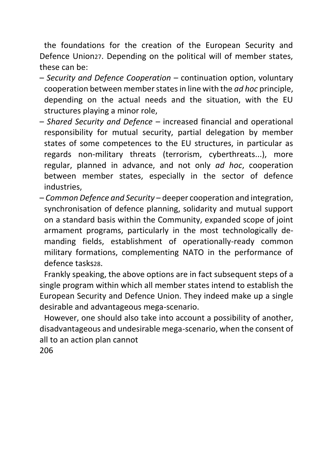the foundations for the creation of the European Security and Defence Union27. Depending on the political will of member states, these can be:

- *Security and Defence Cooperation*  continuation option, voluntary cooperation between member states in line with the *ad hoc* principle, depending on the actual needs and the situation, with the EU structures playing a minor role,
- *Shared Security and Defence*  increased financial and operational responsibility for mutual security, partial delegation by member states of some competences to the EU structures, in particular as regards non-military threats (terrorism, cyberthreats...), more regular, planned in advance, and not only *ad hoc*, cooperation between member states, especially in the sector of defence industries,
- *Common Defence and Security*  deeper cooperation and integration, synchronisation of defence planning, solidarity and mutual support on a standard basis within the Community, expanded scope of joint armament programs, particularly in the most technologically demanding fields, establishment of operationally-ready common military formations, complementing NATO in the performance of defence tasks28.

Frankly speaking, the above options are in fact subsequent steps of a single program within which all member states intend to establish the European Security and Defence Union. They indeed make up a single desirable and advantageous mega-scenario.

However, one should also take into account a possibility of another, disadvantageous and undesirable mega-scenario, when the consent of all to an action plan cannot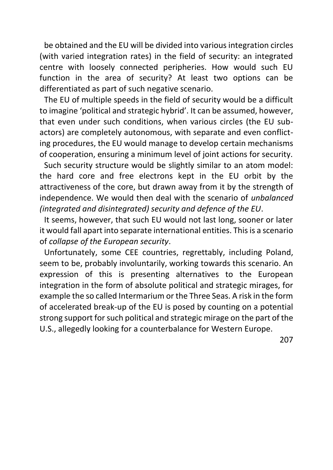be obtained and the EU will be divided into various integration circles (with varied integration rates) in the field of security: an integrated centre with loosely connected peripheries. How would such EU function in the area of security? At least two options can be differentiated as part of such negative scenario.

The EU of multiple speeds in the field of security would be a difficult to imagine 'political and strategic hybrid'. It can be assumed, however, that even under such conditions, when various circles (the EU subactors) are completely autonomous, with separate and even conflicting procedures, the EU would manage to develop certain mechanisms of cooperation, ensuring a minimum level of joint actions for security.

Such security structure would be slightly similar to an atom model: the hard core and free electrons kept in the EU orbit by the attractiveness of the core, but drawn away from it by the strength of independence. We would then deal with the scenario of *unbalanced (integrated and disintegrated) security and defence of the EU*.

It seems, however, that such EU would not last long, sooner or later it would fall apart into separate international entities. This is a scenario of *collapse of the European security*.

Unfortunately, some CEE countries, regrettably, including Poland, seem to be, probably involuntarily, working towards this scenario. An expression of this is presenting alternatives to the European integration in the form of absolute political and strategic mirages, for example the so called Intermarium or the Three Seas. A risk in the form of accelerated break-up of the EU is posed by counting on a potential strong support for such political and strategic mirage on the part of the U.S., allegedly looking for a counterbalance for Western Europe.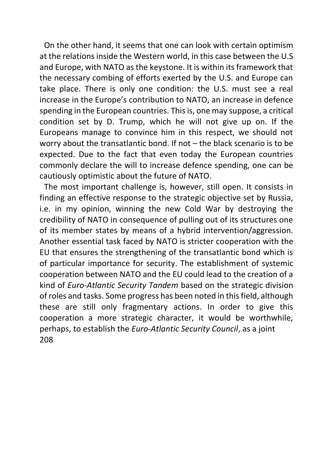On the other hand, it seems that one can look with certain optimism at the relations inside the Western world, in this case between the U.S and Europe, with NATO as the keystone. It is within its framework that the necessary combing of efforts exerted by the U.S. and Europe can take place. There is only one condition: the U.S. must see a real increase in the Europe's contribution to NATO, an increase in defence spending in the European countries. This is, one may suppose, a critical condition set by D. Trump, which he will not give up on. If the Europeans manage to convince him in this respect, we should not worry about the transatlantic bond. If not – the black scenario is to be expected. Due to the fact that even today the European countries commonly declare the will to increase defence spending, one can be cautiously optimistic about the future of NATO.

The most important challenge is, however, still open. It consists in finding an effective response to the strategic objective set by Russia, i.e. in my opinion, winning the new Cold War by destroying the credibility of NATO in consequence of pulling out of its structures one of its member states by means of a hybrid intervention/aggression. Another essential task faced by NATO is stricter cooperation with the EU that ensures the strengthening of the transatlantic bond which is of particular importance for security. The establishment of systemic cooperation between NATO and the EU could lead to the creation of a kind of *Euro-Atlantic Security Tandem* based on the strategic division of roles and tasks. Some progress has been noted in this field, although these are still only fragmentary actions. In order to give this cooperation a more strategic character, it would be worthwhile, perhaps, to establish the *Euro-Atlantic Security Council*, as a joint 208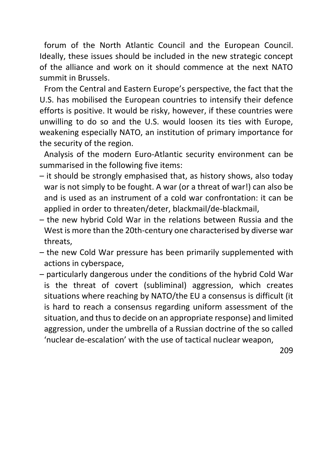forum of the North Atlantic Council and the European Council. Ideally, these issues should be included in the new strategic concept of the alliance and work on it should commence at the next NATO summit in Brussels.

From the Central and Eastern Europe's perspective, the fact that the U.S. has mobilised the European countries to intensify their defence efforts is positive. It would be risky, however, if these countries were unwilling to do so and the U.S. would loosen its ties with Europe, weakening especially NATO, an institution of primary importance for the security of the region.

Analysis of the modern Euro-Atlantic security environment can be summarised in the following five items:

- it should be strongly emphasised that, as history shows, also today war is not simply to be fought. A war (or a threat of war!) can also be and is used as an instrument of a cold war confrontation: it can be applied in order to threaten/deter, blackmail/de-blackmail,
- the new hybrid Cold War in the relations between Russia and the West is more than the 20th-century one characterised by diverse war threats,
- the new Cold War pressure has been primarily supplemented with actions in cyberspace,
- particularly dangerous under the conditions of the hybrid Cold War is the threat of covert (subliminal) aggression, which creates situations where reaching by NATO/the EU a consensus is difficult (it is hard to reach a consensus regarding uniform assessment of the situation, and thus to decide on an appropriate response) and limited aggression, under the umbrella of a Russian doctrine of the so called 'nuclear de-escalation' with the use of tactical nuclear weapon,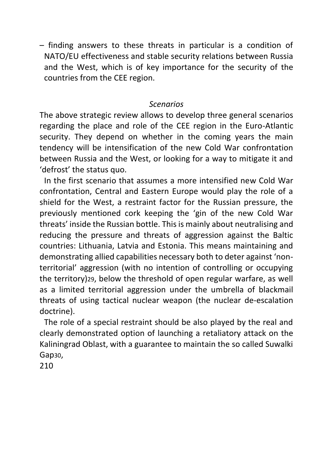– finding answers to these threats in particular is a condition of NATO/EU effectiveness and stable security relations between Russia and the West, which is of key importance for the security of the countries from the CEE region.

### *Scenarios*

The above strategic review allows to develop three general scenarios regarding the place and role of the CEE region in the Euro-Atlantic security. They depend on whether in the coming years the main tendency will be intensification of the new Cold War confrontation between Russia and the West, or looking for a way to mitigate it and 'defrost' the status quo.

In the first scenario that assumes a more intensified new Cold War confrontation, Central and Eastern Europe would play the role of a shield for the West, a restraint factor for the Russian pressure, the previously mentioned cork keeping the 'gin of the new Cold War threats' inside the Russian bottle. This is mainly about neutralising and reducing the pressure and threats of aggression against the Baltic countries: Lithuania, Latvia and Estonia. This means maintaining and demonstrating allied capabilities necessary both to deter against 'nonterritorial' aggression (with no intention of controlling or occupying the territory)29, below the threshold of open regular warfare, as well as a limited territorial aggression under the umbrella of blackmail threats of using tactical nuclear weapon (the nuclear de-escalation doctrine).

The role of a special restraint should be also played by the real and clearly demonstrated option of launching a retaliatory attack on the Kaliningrad Oblast, with a guarantee to maintain the so called Suwalki Gap30,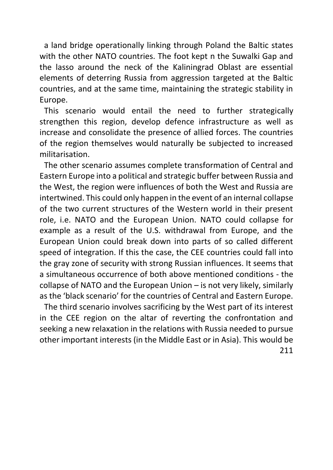a land bridge operationally linking through Poland the Baltic states with the other NATO countries. The foot kept n the Suwalki Gap and the lasso around the neck of the Kaliningrad Oblast are essential elements of deterring Russia from aggression targeted at the Baltic countries, and at the same time, maintaining the strategic stability in Europe.

This scenario would entail the need to further strategically strengthen this region, develop defence infrastructure as well as increase and consolidate the presence of allied forces. The countries of the region themselves would naturally be subjected to increased militarisation.

The other scenario assumes complete transformation of Central and Eastern Europe into a political and strategic buffer between Russia and the West, the region were influences of both the West and Russia are intertwined. This could only happen in the event of an internal collapse of the two current structures of the Western world in their present role, i.e. NATO and the European Union. NATO could collapse for example as a result of the U.S. withdrawal from Europe, and the European Union could break down into parts of so called different speed of integration. If this the case, the CEE countries could fall into the gray zone of security with strong Russian influences. It seems that a simultaneous occurrence of both above mentioned conditions - the collapse of NATO and the European Union – is not very likely, similarly as the 'black scenario' for the countries of Central and Eastern Europe.

The third scenario involves sacrificing by the West part of its interest in the CEE region on the altar of reverting the confrontation and seeking a new relaxation in the relations with Russia needed to pursue other important interests (in the Middle East or in Asia). This would be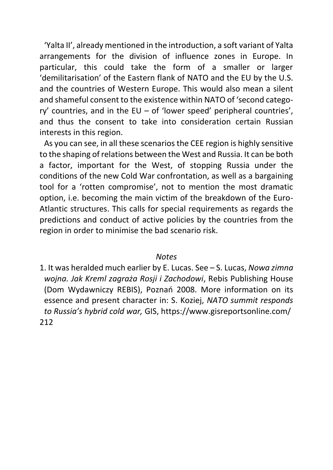'Yalta II', already mentioned in the introduction, a soft variant of Yalta arrangements for the division of influence zones in Europe. In particular, this could take the form of a smaller or larger 'demilitarisation' of the Eastern flank of NATO and the EU by the U.S. and the countries of Western Europe. This would also mean a silent and shameful consent to the existence within NATO of 'second category' countries, and in the EU – of 'lower speed' peripheral countries', and thus the consent to take into consideration certain Russian interests in this region.

As you can see, in all these scenarios the CEE region is highly sensitive to the shaping of relations between the West and Russia. It can be both a factor, important for the West, of stopping Russia under the conditions of the new Cold War confrontation, as well as a bargaining tool for a 'rotten compromise', not to mention the most dramatic option, i.e. becoming the main victim of the breakdown of the Euro-Atlantic structures. This calls for special requirements as regards the predictions and conduct of active policies by the countries from the region in order to minimise the bad scenario risk.

#### *Notes*

1. It was heralded much earlier by E. Lucas. See – S. Lucas, *Nowa zimna wojna. Jak Kreml zagraża Rosji i Zachodowi*, Rebis Publishing House (Dom Wydawniczy REBIS), Poznań 2008. More information on its essence and present character in: S. Koziej, *NATO summit responds to Russia's hybrid cold war,* GIS, https://www.gisreportsonline.com/ 212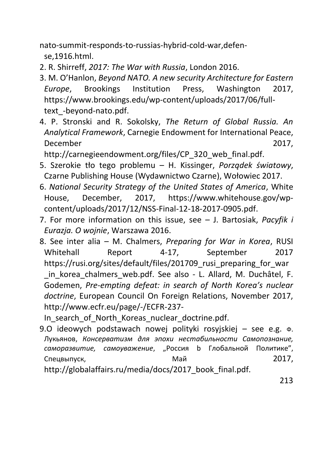nato-summit-responds-to-russias-hybrid-cold-war,defense,1916.html.

- 2. R. Shirreff, *2017: The War with Russia*, London 2016.
- 3. M. O'Hanlon, *Beyond NATO. A new security Architecture for Eastern Europe*, Brookings Institution Press, Washington 2017, https://www.brookings.edu/wp-content/uploads/2017/06/fulltext\_-beyond-nato.pdf.
- 4. P. Stronski and R. Sokolsky, *The Return of Global Russia. An Analytical Framework*, Carnegie Endowment for International Peace, December 2017,

http://carnegieendowment.org/files/CP\_320\_web\_final.pdf.

- 5. Szerokie tło tego problemu H. Kissinger, *Porządek światowy*, Czarne Publishing House (Wydawnictwo Czarne), Wołowiec 2017.
- 6. *National Security Strategy of the United States of America*, White House, December, 2017, https://www.whitehouse.gov/wpcontent/uploads/2017/12/NSS-Final-12-18-2017-0905.pdf.
- 7. For more information on this issue, see J. Bartosiak, *Pacyfik i Eurazja. O wojnie*, Warszawa 2016.
- 8. See inter alia M. Chalmers, *Preparing for War in Korea*, RUSI Whitehall Report 4-17, September 2017 https://rusi.org/sites/default/files/201709 rusi preparing for war in korea chalmers web.pdf. See also - L. Allard, M. Duchâtel, F. Godemen, *Pre-empting defeat: in search of North Korea's nuclear doctrine*, European Council On Foreign Relations, November 2017, http://www.ecfr.eu/page/-/ECFR-237-

In search of North Koreas nuclear doctrine.pdf.

9.O ideowych podstawach nowej polityki rosyjskiej – see e.g. Ф. Лукьянов, *Консерватизм для эпохи нестабильности Самопознание, саморазвитие, самоуважение*, "Россия b Глобальной Политике", Спецвыпуск, Май 2017,

http://globalaffairs.ru/media/docs/2017\_book\_final.pdf.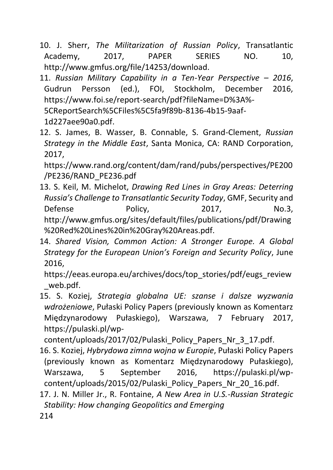- 10. J. Sherr, *The Militarization of Russian Policy*, Transatlantic Academy, 2017, PAPER SERIES NO. 10, http://www.gmfus.org/file/14253/download.
- 11. *Russian Military Capability in a Ten-Year Perspective – 2016*, Gudrun Persson (ed.), FOI, Stockholm, December 2016, https://www.foi.se/report-search/pdf?fileName=D%3A%- 5CReportSearch%5CFiles%5C5fa9f89b-8136-4b15-9aaf-1d227aee90a0.pdf.
- 12. S. James, B. Wasser, B. Connable, S. Grand-Clement, *Russian Strategy in the Middle East*, Santa Monica, CA: RAND Corporation, 2017,

https://www.rand.org/content/dam/rand/pubs/perspectives/PE200 /PE236/RAND\_PE236.pdf

- 13. S. Keil, M. Michelot, *Drawing Red Lines in Gray Areas: Deterring Russia's Challenge to Transatlantic Security Today*, GMF, Security and Defense Policy, 2017, No.3, http://www.gmfus.org/sites/default/files/publications/pdf/Drawing %20Red%20Lines%20in%20Gray%20Areas.pdf.
- 14. *Shared Vision, Common Action: A Stronger Europe. A Global Strategy for the European Union's Foreign and Security Policy*, June 2016,

https://eeas.europa.eu/archives/docs/top\_stories/pdf/eugs\_review \_web.pdf.

15. S. Koziej, *Strategia globalna UE: szanse i dalsze wyzwania wdrożeniowe*, Pułaski Policy Papers (previously known as Komentarz Międzynarodowy Pułaskiego), Warszawa, 7 February 2017, https://pulaski.pl/wp-

content/uploads/2017/02/Pulaski\_Policy\_Papers\_Nr\_3\_17.pdf.

16. S. Koziej, *Hybrydowa zimna wojna w Europie*, Pułaski Policy Papers (previously known as Komentarz Międzynarodowy Pułaskiego), Warszawa, 5 September 2016, https://pulaski.pl/wpcontent/uploads/2015/02/Pulaski\_Policy\_Papers\_Nr\_20\_16.pdf.

17. J. N. Miller Jr., R. Fontaine, *A New Area in U.S.-Russian Strategic Stability: How changing Geopolitics and Emerging*  214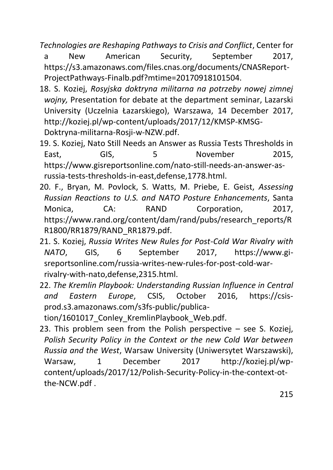*Technologies are Reshaping Pathways to Crisis and Conflict*, Center for

a New American Security, September 2017, https://s3.amazonaws.com/files.cnas.org/documents/CNASReport-ProjectPathways-Finalb.pdf?mtime=20170918101504.

- 18. S. Koziej, *Rosyjska doktryna militarna na potrzeby nowej zimnej wojny,* Presentation for debate at the department seminar, Lazarski University (Uczelnia Łazarskiego), Warszawa, 14 December 2017, http://koziej.pl/wp-content/uploads/2017/12/KMSP-KMSG-Doktryna-militarna-Rosji-w-NZW.pdf.
- 19. S. Koziej, Nato Still Needs an Answer as Russia Tests Thresholds in East. GIS. 5 November 2015. https://www.gisreportsonline.com/nato-still-needs-an-answer-asrussia-tests-thresholds-in-east,defense,1778.html.
- 20. F., Bryan, M. Povlock, S. Watts, M. Priebe, E. Geist, *Assessing Russian Reactions to U.S. and NATO Posture Enhancements*, Santa Monica, CA: RAND Corporation, 2017, https://www.rand.org/content/dam/rand/pubs/research\_reports/R R1800/RR1879/RAND\_RR1879.pdf.
- 21. S. Koziej, *Russia Writes New Rules for Post-Cold War Rivalry with NATO*, GIS, 6 September 2017, https://www.gisreportsonline.com/russia-writes-new-rules-for-post-cold-warrivalry-with-nato,defense,2315.html.
- 22. *The Kremlin Playbook: Understanding Russian Influence in Central and Eastern Europe*, CSIS, October 2016, https://csisprod.s3.amazonaws.com/s3fs-public/publica-

tion/1601017 Conley KremlinPlaybook Web.pdf.

23. This problem seen from the Polish perspective – see S. Koziej, *Polish Security Policy in the Context or the new Cold War between Russia and the West*, Warsaw University (Uniwersytet Warszawski), Warsaw, 1 December 2017 http://koziej.pl/wpcontent/uploads/2017/12/Polish-Security-Policy-in-the-context-otthe-NCW.pdf .